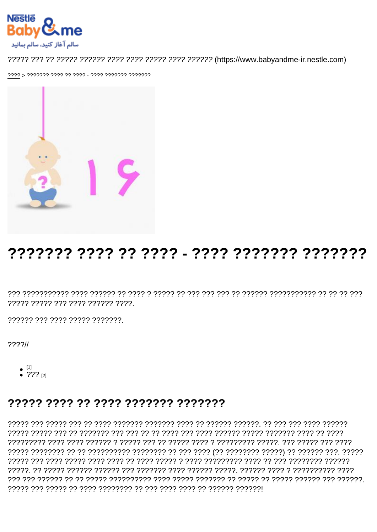## 

????? ????? ??? ???? ?????? ????.

?????? ??? ???? ????? ???????

 $777711$ 

- 
- $^{[1]}$ <br>• ???  $^{[2]}$

## 77777 7777 77 7777 7777777 7777777